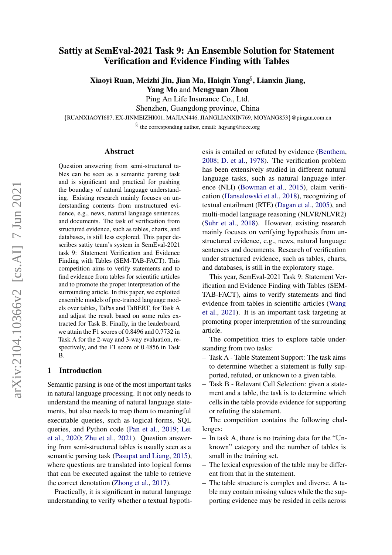# Sattiy at SemEval-2021 Task 9: An Ensemble Solution for Statement Verification and Evidence Finding with Tables

Xiaoyi Ruan, Meizhi Jin, Jian Ma, Haiqin Yang§ , Lianxin Jiang,

Yang Mo and Mengyuan Zhou

Ping An Life Insurance Co., Ltd.

Shenzhen, Guangdong province, China

{RUANXIAOYI687, EX-JINMEIZHI001, MAJIAN446, JIANGLIANXIN769, MOYANG853}@pingan.com.cn

§ the corresponding author, email: hqyang@ieee.org

#### Abstract

Question answering from semi-structured tables can be seen as a semantic parsing task and is significant and practical for pushing the boundary of natural language understanding. Existing research mainly focuses on understanding contents from unstructured evidence, e.g., news, natural language sentences, and documents. The task of verification from structured evidence, such as tables, charts, and databases, is still less explored. This paper describes sattiy team's system in SemEval-2021 task 9: Statement Verification and Evidence Finding with Tables (SEM-TAB-FACT). This competition aims to verify statements and to find evidence from tables for scientific articles and to promote the proper interpretation of the surrounding article. In this paper, we exploited ensemble models of pre-trained language models over tables, TaPas and TaBERT, for Task A and adjust the result based on some rules extracted for Task B. Finally, in the leaderboard, we attain the F1 scores of 0.8496 and 0.7732 in Task A for the 2-way and 3-way evaluation, respectively, and the F1 score of 0.4856 in Task B.

# 1 Introduction

Semantic parsing is one of the most important tasks in natural language processing. It not only needs to understand the meaning of natural language statements, but also needs to map them to meaningful executable queries, such as logical forms, SQL queries, and Python code [\(Pan et al.,](#page-5-0) [2019;](#page-5-0) [Lei](#page-5-1) [et al.,](#page-5-1) [2020;](#page-5-1) [Zhu et al.,](#page-6-0) [2021\)](#page-6-0). Question answering from semi-structured tables is usually seen as a semantic parsing task [\(Pasupat and Liang,](#page-5-2) [2015\)](#page-5-2), where questions are translated into logical forms that can be executed against the table to retrieve the correct denotation [\(Zhong et al.,](#page-6-1) [2017\)](#page-6-1).

Practically, it is significant in natural language understanding to verify whether a textual hypoth-

esis is entailed or refuted by evidence [\(Benthem,](#page-5-3) [2008;](#page-5-3) [D. et al.,](#page-5-4) [1978\)](#page-5-4). The verification problem has been extensively studied in different natural language tasks, such as natural language inference (NLI) [\(Bowman et al.,](#page-5-5) [2015\)](#page-5-5), claim verification [\(Hanselowski et al.,](#page-5-6) [2018\)](#page-5-6), recognizing of textual entailment (RTE) [\(Dagan et al.,](#page-5-7) [2005\)](#page-5-7), and multi-model language reasoning (NLVR/NLVR2) [\(Suhr et al.,](#page-5-8) [2018\)](#page-5-8). However, existing research mainly focuses on verifying hypothesis from unstructured evidence, e.g., news, natural language sentences and documents. Research of verification under structured evidence, such as tables, charts, and databases, is still in the exploratory stage.

This year, SemEval-2021 Task 9: Statement Verification and Evidence Finding with Tables (SEM-TAB-FACT), aims to verify statements and find evidence from tables in scientific articles [\(Wang](#page-5-9) [et al.,](#page-5-9) [2021\)](#page-5-9). It is an important task targeting at promoting proper interpretation of the surrounding article.

The competition tries to explore table understanding from two tasks:

- Task A Table Statement Support: The task aims to determine whether a statement is fully supported, refuted, or unknown to a given table.
- Task B Relevant Cell Selection: given a statement and a table, the task is to determine which cells in the table provide evidence for supporting or refuting the statement.

The competition contains the following challenges:

- In task A, there is no training data for the "Unknown" category and the number of tables is small in the training set.
- The lexical expression of the table may be different from that in the statement.
- The table structure is complex and diverse. A table may contain missing values while the the supporting evidence may be resided in cells across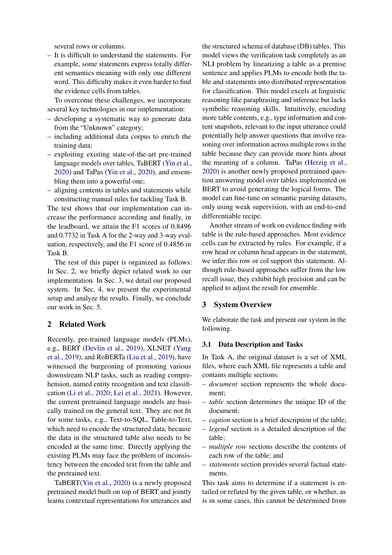several rows or columns.

– It is difficult to understand the statements. For example, some statements express totally different semantics meaning with only one different word. This difficulty makes it even harder to find the evidence cells from tables.

To overcome these challenges, we incorporate several key technologies in our implementation:

- developing a systematic way to generate data from the "Unknown" category;
- including additional data corpus to enrich the training data;
- exploiting existing state-of-the-art pre-trained language models over tables, TaBERT [\(Yin et al.,](#page-5-10) [2020\)](#page-5-10) and TaPas [\(Yin et al.,](#page-5-11) [2020\)](#page-5-11), and ensembling them into a powerful one;
- aligning contents in tables and statements while constructing manual rules for tackling Task B.

The test shows that our implementation can increase the performance according and finally, in the leadboard, we attain the F1 scores of 0.8496 and 0.7732 in Task A for the 2-way and 3-way evaluation, respectively, and the F1 score of 0.4856 in Task B.

The rest of this paper is organized as follows: In Sec. 2, we briefly depict related work to our implementation. In Sec. 3, we detail our proposed system. In Sec. 4, we present the experimental setup and analyze the results. Finally, we conclude our work in Sec. 5.

# 2 Related Work

Recently, pre-trained language models (PLMs), e.g., BERT [\(Devlin et al.,](#page-5-12) [2019\)](#page-5-12), XLNET [\(Yang](#page-5-13) [et al.,](#page-5-13) [2019\)](#page-5-13), and RoBERTa [\(Liu et al.,](#page-5-14) [2019\)](#page-5-14), have witnessed the burgeoning of promoting various downstream NLP tasks, such as reading comprehension, named entity recognition and text classification [\(Li et al.,](#page-5-15) [2020;](#page-5-15) [Lei et al.,](#page-5-16) [2021\)](#page-5-16). However, the current pretrained language models are basically trained on the general text. They are not fit for some tasks, e.g., Text-to-SQL, Table-to-Text, which need to encode the structured data, because the data in the structured table also needs to be encoded at the same time. Directly applying the existing PLMs may face the problem of inconsistency between the encoded text from the table and the pretrained text.

TaBERT[\(Yin et al.,](#page-5-10) [2020\)](#page-5-10) is a newly proposed pretrained model built on top of BERT and jointly learns contextual representations for utterances and the structured schema of database (DB) tables. This model views the verification task completely as an NLI problem by linearizing a table as a premise sentence and applies PLMs to encode both the table and statements into distributed representation for classification. This model excels at linguistic reasoning like paraphrasing and inference but lacks symbolic reasoning skills. Intuitively, encoding more table contents, e.g., type information and content snapshots, relevant to the input utterance could potentially help answer questions that involve reasoning over information across multiple rows in the table because they can provide more hints about the meaning of a column. TaPas [\(Herzig et al.,](#page-5-17) [2020\)](#page-5-17) is another newly proposed pretrained question answering model over tables implemented on BERT to avoid generating the logical forms. The model can fine-tune on semantic parsing datasets, only using weak supervision, with an end-to-end differentiable recipe.

Another stream of work on evidence finding with table is the rule-based approaches. Most evidence cells can be extracted by rules. For example, if a row head or column head appears in the statement, we infer this row or col support this statement. Although rule-based approaches suffer from the low recall issue, they exhibit high precision and can be applied to adjust the result for ensemble.

## 3 System Overview

We elaborate the task and present our system in the following.

#### 3.1 Data Description and Tasks

In Task A, the original dataset is a set of XML files, where each XML file represents a table and contains multiple sections:

- *document* section represents the whole document;
- *table* section determines the unique ID of the document;
- *caption* section is a brief description of the table;
- *legend* section is a detailed description of the table;
- *multiple row* sections describe the contents of each row of the table; and
- *statements* section provides several factual statements.

This task aims to determine if a statement is entailed or refuted by the given table, or whether, as is in some cases, this cannot be determined from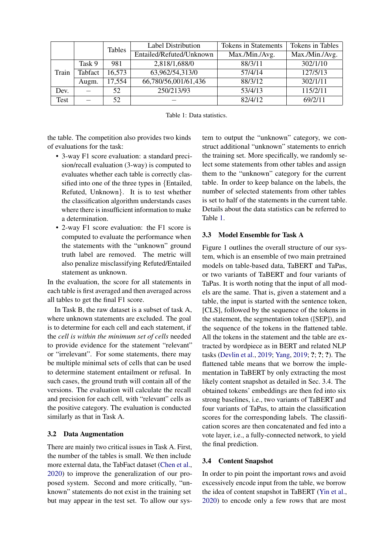<span id="page-2-0"></span>

|       |         | <b>Tables</b> | <b>Label Distribution</b> | <b>Tokens in Statements</b> | Tokens in Tables |
|-------|---------|---------------|---------------------------|-----------------------------|------------------|
|       |         |               | Entailed/Refuted/Unknown  | Max./Min./Avg.              | Max./Min./Avg.   |
| Train | Task 9  | 981           | 2,818/1,688/0             | 88/3/11                     | 302/1/10         |
|       | Tabfact | 16,573        | 63,962/54,313/0           | 57/4/14                     | 127/5/13         |
|       | Augm.   | 17,554        | 66,780/56,001/61,436      | 88/3/12                     | 302/1/11         |
| Dev.  |         | 52            | 250/213/93                | 53/4/13                     | 115/2/11         |
| Test  |         | 52            |                           | 82/4/12                     | 69/2/11          |

| Table 1: Data statistics. |
|---------------------------|
|                           |

the table. The competition also provides two kinds of evaluations for the task:

- 3-way F1 score evaluation: a standard precision/recall evaluation (3-way) is computed to evaluates whether each table is correctly classified into one of the three types in {Entailed, Refuted, Unknown}. It is to test whether the classification algorithm understands cases where there is insufficient information to make a determination.
- 2-way F1 score evaluation: the F1 score is computed to evaluate the performance when the statements with the "unknown" ground truth label are removed. The metric will also penalize misclassifying Refuted/Entailed statement as unknown.

In the evaluation, the score for all statements in each table is first averaged and then averaged across all tables to get the final F1 score.

In Task B, the raw dataset is a subset of task A, where unknown statements are excluded. The goal is to determine for each cell and each statement, if the *cell is within the minimum set of cells* needed to provide evidence for the statement "relevant" or "irrelevant". For some statements, there may be multiple minimal sets of cells that can be used to determine statement entailment or refusal. In such cases, the ground truth will contain all of the versions. The evaluation will calculate the recall and precision for each cell, with "relevant" cells as the positive category. The evaluation is conducted similarly as that in Task A.

## 3.2 Data Augmentation

There are mainly two critical issues in Task A. First, the number of the tables is small. We then include more external data, the TabFact dataset [\(Chen et al.,](#page-5-18) [2020\)](#page-5-18) to improve the generalization of our proposed system. Second and more critically, "unknown" statements do not exist in the training set but may appear in the test set. To allow our sys-

tem to output the "unknown" category, we construct additional "unknown" statements to enrich the training set. More specifically, we randomly select some statements from other tables and assign them to the "unknown" category for the current table. In order to keep balance on the labels, the number of selected statements from other tables is set to half of the statements in the current table. Details about the data statistics can be referred to Table [1.](#page-2-0)

#### 3.3 Model Ensemble for Task A

Figure 1 outlines the overall structure of our system, which is an ensemble of two main pretrained models on table-based data, TaBERT and TaPas, or two variants of TaBERT and four variants of TaPas. It is worth noting that the input of all models are the same. That is, given a statement and a table, the input is started with the sentence token, [CLS], followed by the sequence of the tokens in the statement, the segmentation token ([SEP]), and the sequence of the tokens in the flattened table. All the tokens in the statement and the table are extracted by wordpiece as in BERT and related NLP tasks [\(Devlin et al.,](#page-5-12) [2019;](#page-5-12) [Yang,](#page-5-19) [2019;](#page-5-19) ?; ?; ?). The flattened table means that we borrow the implementation in TaBERT by only extracting the most likely content snapshot as detailed in Sec. 3.4. The obtained tokens' embeddings are then fed into six strong baselines, i.e., two variants of TaBERT and four variants of TaPas, to attain the classification scores for the corresponding labels. The classification scores are then concatenated and fed into a vote layer, i.e., a fully-connected network, to yield the final prediction.

#### 3.4 Content Snapshot

In order to pin point the important rows and avoid excessively encode input from the table, we borrow the idea of content snapshot in TaBERT [\(Yin et al.,](#page-5-10) [2020\)](#page-5-10) to encode only a few rows that are most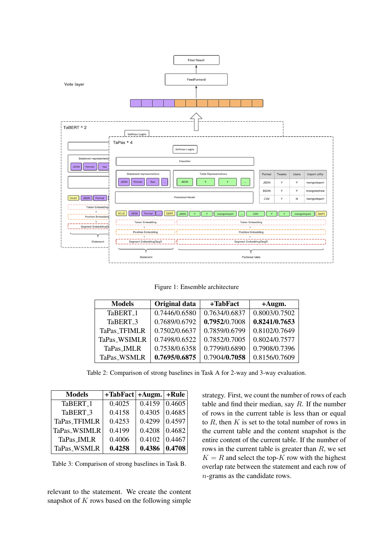

Figure 1: Ensemble architecture

<span id="page-3-0"></span>

| <b>Models</b>        | Original data | +TabFact      | $+$ Augm.     |
|----------------------|---------------|---------------|---------------|
| TaBERT <sub>-1</sub> | 0.7446/0.6580 | 0.7634/0.6837 | 0.8003/0.7502 |
| TaBERT <sub>-3</sub> | 0.7689/0.6792 | 0.7952/0.7008 | 0.8241/0.7653 |
| <b>TaPas_TFIMLR</b>  | 0.7502/0.6637 | 0.7859/0.6799 | 0.8102/0.7649 |
| TaPas_WSIMLR         | 0.7498/0.6522 | 0.7852/0.7005 | 0.8024/0.7577 |
| TaPas_IMLR           | 0.7538/0.6358 | 0.7799/0.6890 | 0.7908/0.7396 |
| TaPas_WSMLR          | 0.7695/0.6875 | 0.7904/0.7058 | 0.8156/0.7609 |

Table 2: Comparison of strong baselines in Task A for 2-way and 3-way evaluation.

<span id="page-3-1"></span>

| <b>Models</b>        | $+$ TabFact $ +$ Augm. $ +$ Rule |        |        |
|----------------------|----------------------------------|--------|--------|
| TaBERT <sub>-1</sub> | 0.4025                           | 0.4159 | 0.4605 |
| TaBERT <sub>-3</sub> | 0.4158                           | 0.4305 | 0.4685 |
| TaPas_TFIMLR         | 0.4253                           | 0.4299 | 0.4597 |
| TaPas_WSIMLR         | 0.4199                           | 0.4208 | 0.4682 |
| TaPas_IMLR           | 0.4006                           | 0.4102 | 0.4467 |
| TaPas_WSMLR          | 0.4258                           | 0.4386 | 0.4708 |

Table 3: Comparison of strong baselines in Task B.

relevant to the statement. We create the content snapshot of  $K$  rows based on the following simple

strategy. First, we count the number of rows of each table and find their median, say  $R$ . If the number of rows in the current table is less than or equal to  $R$ , then  $K$  is set to the total number of rows in the current table and the content snapshot is the entire content of the current table. If the number of rows in the current table is greater than  $R$ , we set  $K = R$  and select the top-K row with the highest overlap rate between the statement and each row of n-grams as the candidate rows.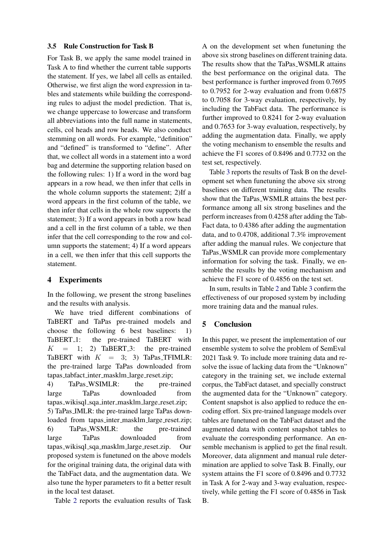#### 3.5 Rule Construction for Task B

For Task B, we apply the same model trained in Task A to find whether the current table supports the statement. If yes, we label all cells as entailed. Otherwise, we first align the word expression in tables and statements while building the corresponding rules to adjust the model prediction. That is, we change uppercase to lowercase and transform all abbreviations into the full name in statements, cells, col heads and row heads. We also conduct stemming on all words. For example, "definition" and "defined" is transformed to "define". After that, we collect all words in a statement into a word bag and determine the supporting relation based on the following rules: 1) If a word in the word bag appears in a row head, we then infer that cells in the whole column supports the statement; 2)If a word appears in the first column of the table, we then infer that cells in the whole row supports the statement; 3) If a word appears in both a row head and a cell in the first column of a table, we then infer that the cell corresponding to the row and column supports the statement; 4) If a word appears in a cell, we then infer that this cell supports the statement.

# 4 Experiments

In the following, we present the strong baselines and the results with analysis.

We have tried different combinations of TaBERT and TaPas pre-trained models and choose the following 6 best baselines: 1) TaBERT<sub>-1</sub>: the pre-trained TaBERT with  $K = 1$ ; 2) TaBERT<sub>-3</sub>: the pre-trained TaBERT with  $K = 3$ ; 3) TaPas\_TFIMLR: the pre-trained large TaPas downloaded from tapas tabfact inter masklm large reset.zip;

4) TaPas WSIMLR: the pre-trained large TaPas downloaded from tapas wikisql sqa inter masklm large reset.zip; 5) TaPas IMLR: the pre-trained large TaPas downloaded from tapas\_inter\_masklm\_large\_reset.zip; 6) TaPas WSMLR: the pre-trained large TaPas downloaded from tapas wikisql sqa masklm large reset.zip. Our proposed system is funetuned on the above models for the original training data, the original data with the TabFact data, and the augmentation data. We also tune the hyper parameters to fit a better result in the local test dataset.

Table [2](#page-3-0) reports the evaluation results of Task

A on the development set when funetuning the above six strong baselines on different training data. The results show that the TaPas\_WSMLR attains the best performance on the original data. The best performance is further improved from 0.7695 to 0.7952 for 2-way evaluation and from 0.6875 to 0.7058 for 3-way evaluation, respectively, by including the TabFact data. The performance is further improved to 0.8241 for 2-way evaluation and 0.7653 for 3-way evaluation, respectively, by adding the augmentation data. Finally, we apply the voting mechanism to ensemble the results and achieve the F1 scores of 0.8496 and 0.7732 on the test set, respectively.

Table [3](#page-3-1) reports the results of Task B on the development set when funetuning the above six strong baselines on different training data. The results show that the TaPas WSMLR attains the best performance among all six strong baselines and the perform increases from 0.4258 after adding the Tab-Fact data, to 0.4386 after adding the augmentation data, and to 0.4708, additional 7.3% improvement after adding the manual rules. We conjecture that TaPas WSMLR can provide more complementary information for solving the task. Finally, we ensemble the results by the voting mechanism and achieve the F1 score of 0.4856 on the test set.

In sum, results in Table [2](#page-3-0) and Table [3](#page-3-1) confirm the effectiveness of our proposed system by including more training data and the manual rules.

## 5 Conclusion

In this paper, we present the implementation of our ensemble system to solve the problem of SemEval 2021 Task 9. To include more training data and resolve the issue of lacking data from the "Unknown" category in the training set, we include external corpus, the TabFact dataset, and specially construct the augmented data for the "Unknown" category. Content snapshot is also applied to reduce the encoding effort. Six pre-trained language models over tables are funetuned on the TabFact dataset and the augmented data with content snapshot tables to evaluate the corresponding performance. An ensemble mechanism is applied to get the final result. Moreover, data alignment and manual rule determination are applied to solve Task B. Finally, our system attains the F1 score of 0.8496 and 0.7732 in Task A for 2-way and 3-way evaluation, respectively, while getting the F1 score of 0.4856 in Task B.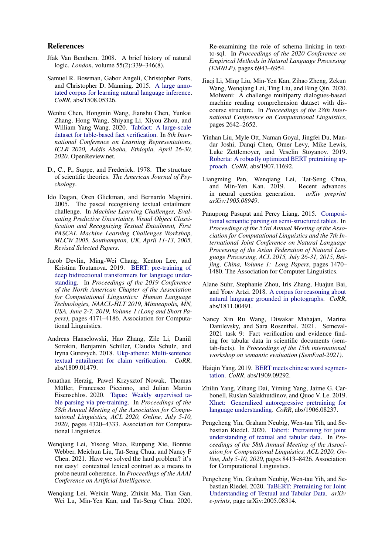#### References

- <span id="page-5-3"></span>Jfak Van Benthem. 2008. A brief history of natural logic. *London*, volume 55(2):339–346(8).
- <span id="page-5-5"></span>Samuel R. Bowman, Gabor Angeli, Christopher Potts, and Christopher D. Manning. 2015. [A large anno](http://arxiv.org/abs/1508.05326)[tated corpus for learning natural language inference.](http://arxiv.org/abs/1508.05326) *CoRR*, abs/1508.05326.
- <span id="page-5-18"></span>Wenhu Chen, Hongmin Wang, Jianshu Chen, Yunkai Zhang, Hong Wang, Shiyang Li, Xiyou Zhou, and William Yang Wang. 2020. [Tabfact: A large-scale](https://openreview.net/forum?id=rkeJRhNYDH) [dataset for table-based fact verification.](https://openreview.net/forum?id=rkeJRhNYDH) In *8th International Conference on Learning Representations, ICLR 2020, Addis Ababa, Ethiopia, April 26-30, 2020*. OpenReview.net.
- <span id="page-5-4"></span>D., C., P., Suppe, and Frederick. 1978. The structure of scientific theories. *The American Journal of Psychology*.
- <span id="page-5-7"></span>Ido Dagan, Oren Glickman, and Bernardo Magnini. 2005. The pascal recognising textual entailment challenge. In *Machine Learning Challenges, Evaluating Predictive Uncertainty, Visual Object Classification and Recognizing Textual Entailment, First PASCAL Machine Learning Challenges Workshop, MLCW 2005, Southampton, UK, April 11-13, 2005, Revised Selected Papers*.
- <span id="page-5-12"></span>Jacob Devlin, Ming-Wei Chang, Kenton Lee, and Kristina Toutanova. 2019. [BERT: pre-training of](https://doi.org/10.18653/v1/n19-1423) [deep bidirectional transformers for language under](https://doi.org/10.18653/v1/n19-1423)[standing.](https://doi.org/10.18653/v1/n19-1423) In *Proceedings of the 2019 Conference of the North American Chapter of the Association for Computational Linguistics: Human Language Technologies, NAACL-HLT 2019, Minneapolis, MN, USA, June 2-7, 2019, Volume 1 (Long and Short Papers)*, pages 4171–4186. Association for Computational Linguistics.
- <span id="page-5-6"></span>Andreas Hanselowski, Hao Zhang, Zile Li, Daniil Sorokin, Benjamin Schiller, Claudia Schulz, and Iryna Gurevych. 2018. [Ukp-athene: Multi-sentence](http://arxiv.org/abs/1809.01479) [textual entailment for claim verification.](http://arxiv.org/abs/1809.01479) *CoRR*, abs/1809.01479.
- <span id="page-5-17"></span>Jonathan Herzig, Pawel Krzysztof Nowak, Thomas Müller, Francesco Piccinno, and Julian Martin Eisenschlos. 2020. [Tapas: Weakly supervised ta](https://doi.org/10.18653/v1/2020.acl-main.398)[ble parsing via pre-training.](https://doi.org/10.18653/v1/2020.acl-main.398) In *Proceedings of the 58th Annual Meeting of the Association for Computational Linguistics, ACL 2020, Online, July 5-10, 2020*, pages 4320–4333. Association for Computational Linguistics.
- <span id="page-5-16"></span>Wenqiang Lei, Yisong Miao, Runpeng Xie, Bonnie Webber, Meichun Liu, Tat-Seng Chua, and Nancy F Chen. 2021. Have we solved the hard problem? it's not easy! contextual lexical contrast as a means to probe neural coherence. In *Proceedings of the AAAI Conference on Artificial Intelligence*.
- <span id="page-5-1"></span>Wenqiang Lei, Weixin Wang, Zhixin Ma, Tian Gan, Wei Lu, Min-Yen Kan, and Tat-Seng Chua. 2020.

Re-examining the role of schema linking in textto-sql. In *Proceedings of the 2020 Conference on Empirical Methods in Natural Language Processing (EMNLP)*, pages 6943–6954.

- <span id="page-5-15"></span>Jiaqi Li, Ming Liu, Min-Yen Kan, Zihao Zheng, Zekun Wang, Wenqiang Lei, Ting Liu, and Bing Qin. 2020. Molweni: A challenge multiparty dialogues-based machine reading comprehension dataset with discourse structure. In *Proceedings of the 28th International Conference on Computational Linguistics*, pages 2642–2652.
- <span id="page-5-14"></span>Yinhan Liu, Myle Ott, Naman Goyal, Jingfei Du, Mandar Joshi, Danqi Chen, Omer Levy, Mike Lewis, Luke Zettlemoyer, and Veselin Stoyanov. 2019. [Roberta: A robustly optimized BERT pretraining ap](http://arxiv.org/abs/1907.11692)[proach.](http://arxiv.org/abs/1907.11692) *CoRR*, abs/1907.11692.
- <span id="page-5-0"></span>Liangming Pan, Wenqiang Lei, Tat-Seng Chua, and Min-Yen Kan. 2019. Recent advances in neural question generation. *arXiv preprint arXiv:1905.08949*.
- <span id="page-5-2"></span>Panupong Pasupat and Percy Liang. 2015. [Composi](https://doi.org/10.3115/v1/p15-1142)[tional semantic parsing on semi-structured tables.](https://doi.org/10.3115/v1/p15-1142) In *Proceedings of the 53rd Annual Meeting of the Association for Computational Linguistics and the 7th International Joint Conference on Natural Language Processing of the Asian Federation of Natural Language Processing, ACL 2015, July 26-31, 2015, Beijing, China, Volume 1: Long Papers*, pages 1470– 1480. The Association for Computer Linguistics.
- <span id="page-5-8"></span>Alane Suhr, Stephanie Zhou, Iris Zhang, Huajun Bai, and Yoav Artzi. 2018. [A corpus for reasoning about](http://arxiv.org/abs/1811.00491) [natural language grounded in photographs.](http://arxiv.org/abs/1811.00491) *CoRR*, abs/1811.00491.
- <span id="page-5-9"></span>Nancy Xin Ru Wang, Diwakar Mahajan, Marina Danilevsky, and Sara Rosenthal. 2021. Semeval-2021 task 9: Fact verification and evidence finding for tabular data in scientific documents (semtab-facts). In *Proceedings of the 15th international workshop on semantic evaluation (SemEval-2021)*.
- <span id="page-5-19"></span>Haiqin Yang. 2019. [BERT meets chinese word segmen](http://arxiv.org/abs/1909.09292)[tation.](http://arxiv.org/abs/1909.09292) *CoRR*, abs/1909.09292.
- <span id="page-5-13"></span>Zhilin Yang, Zihang Dai, Yiming Yang, Jaime G. Carbonell, Ruslan Salakhutdinov, and Quoc V. Le. 2019. [Xlnet: Generalized autoregressive pretraining for](http://arxiv.org/abs/1906.08237) [language understanding.](http://arxiv.org/abs/1906.08237) *CoRR*, abs/1906.08237.
- <span id="page-5-10"></span>Pengcheng Yin, Graham Neubig, Wen-tau Yih, and Sebastian Riedel. 2020. [Tabert: Pretraining for joint](https://doi.org/10.18653/v1/2020.acl-main.745) [understanding of textual and tabular data.](https://doi.org/10.18653/v1/2020.acl-main.745) In *Proceedings of the 58th Annual Meeting of the Association for Computational Linguistics, ACL 2020, Online, July 5-10, 2020*, pages 8413–8426. Association for Computational Linguistics.
- <span id="page-5-11"></span>Pengcheng Yin, Graham Neubig, Wen-tau Yih, and Sebastian Riedel. 2020. [TaBERT: Pretraining for Joint](http://arxiv.org/abs/2005.08314) [Understanding of Textual and Tabular Data.](http://arxiv.org/abs/2005.08314) *arXiv e-prints*, page arXiv:2005.08314.